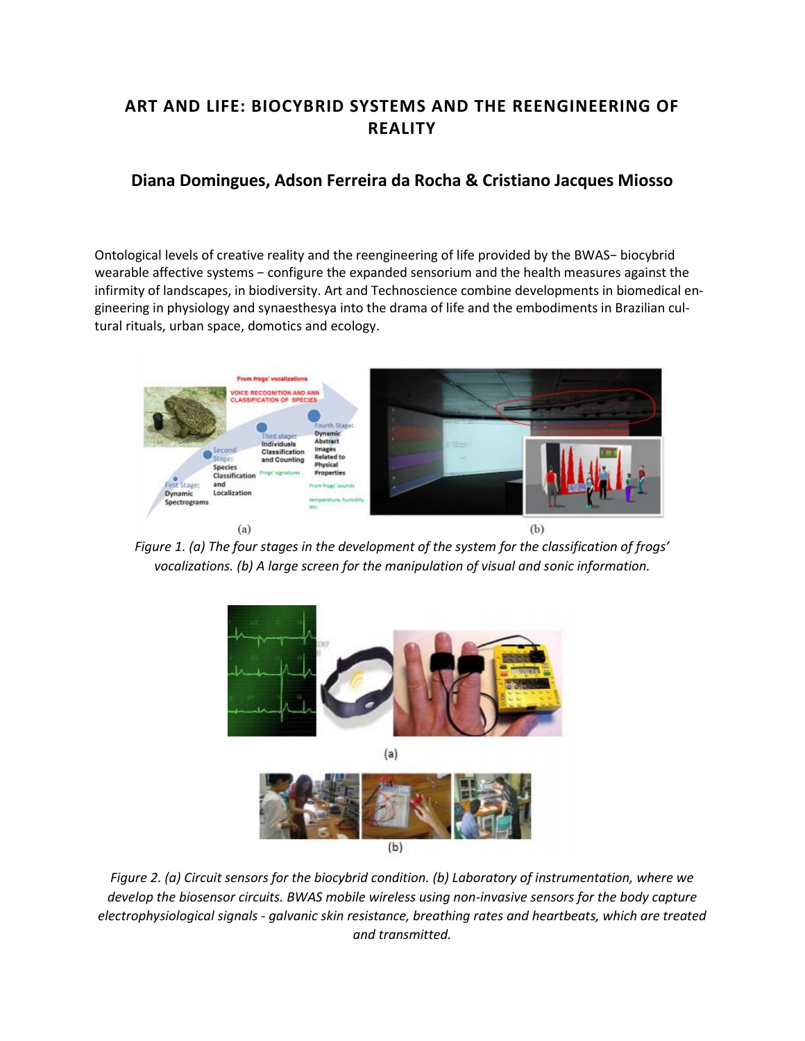# **ART AND LIFE: BIOCYBRID SYSTEMS AND THE REENGINEERING OF REALITY**

## **Diana Domingues, Adson Ferreira da Rocha & Cristiano Jacques Miosso**

Ontological levels of creative reality and the reengineering of life provided by the BWAS− biocybrid wearable affective systems − configure the expanded sensorium and the health measures against the infirmity of landscapes, in biodiversity. Art and Technoscience combine developments in biomedical engineering in physiology and synaesthesya into the drama of life and the embodiments in Brazilian cultural rituals, urban space, domotics and ecology.



*Figure 1. (a) The four stages in the development of the system for the classification of frogs' vocalizations. (b) A large screen for the manipulation of visual and sonic information.*



*Figure 2. (a) Circuit sensors for the biocybrid condition. (b) Laboratory of instrumentation, where we develop the biosensor circuits. BWAS mobile wireless using non-invasive sensors for the body capture electrophysiological signals - galvanic skin resistance, breathing rates and heartbeats, which are treated and transmitted.*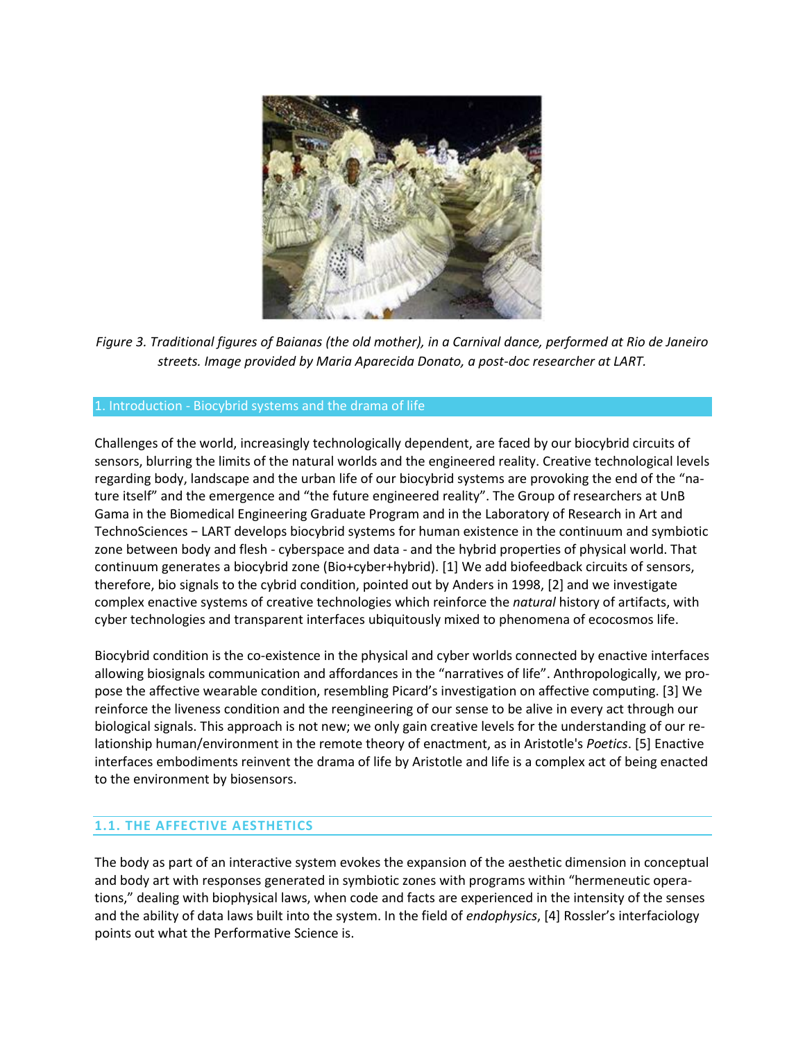

*Figure 3. Traditional figures of Baianas (the old mother), in a Carnival dance, performed at Rio de Janeiro streets. Image provided by Maria Aparecida Donato, a post-doc researcher at LART.*

#### 1. Introduction - Biocybrid systems and the drama of life

Challenges of the world, increasingly technologically dependent, are faced by our biocybrid circuits of sensors, blurring the limits of the natural worlds and the engineered reality. Creative technological levels regarding body, landscape and the urban life of our biocybrid systems are provoking the end of the "nature itself" and the emergence and "the future engineered reality". The Group of researchers at UnB Gama in the Biomedical Engineering Graduate Program and in the Laboratory of Research in Art and TechnoSciences − LART develops biocybrid systems for human existence in the continuum and symbiotic zone between body and flesh - cyberspace and data - and the hybrid properties of physical world. That continuum generates a biocybrid zone (Bio+cyber+hybrid). [1] We add biofeedback circuits of sensors, therefore, bio signals to the cybrid condition, pointed out by Anders in 1998, [2] and we investigate complex enactive systems of creative technologies which reinforce the *natural* history of artifacts, with cyber technologies and transparent interfaces ubiquitously mixed to phenomena of ecocosmos life.

Biocybrid condition is the co-existence in the physical and cyber worlds connected by enactive interfaces allowing biosignals communication and affordances in the "narratives of life". Anthropologically, we propose the affective wearable condition, resembling Picard's investigation on affective computing. [3] We reinforce the liveness condition and the reengineering of our sense to be alive in every act through our biological signals. This approach is not new; we only gain creative levels for the understanding of our relationship human/environment in the remote theory of enactment, as in Aristotle's *Poetics*. [5] Enactive interfaces embodiments reinvent the drama of life by Aristotle and life is a complex act of being enacted to the environment by biosensors.

#### **1.1. THE AFFECTIVE AESTHETICS**

The body as part of an interactive system evokes the expansion of the aesthetic dimension in conceptual and body art with responses generated in symbiotic zones with programs within "hermeneutic operations," dealing with biophysical laws, when code and facts are experienced in the intensity of the senses and the ability of data laws built into the system. In the field of *endophysics*, [4] Rossler's interfaciology points out what the Performative Science is.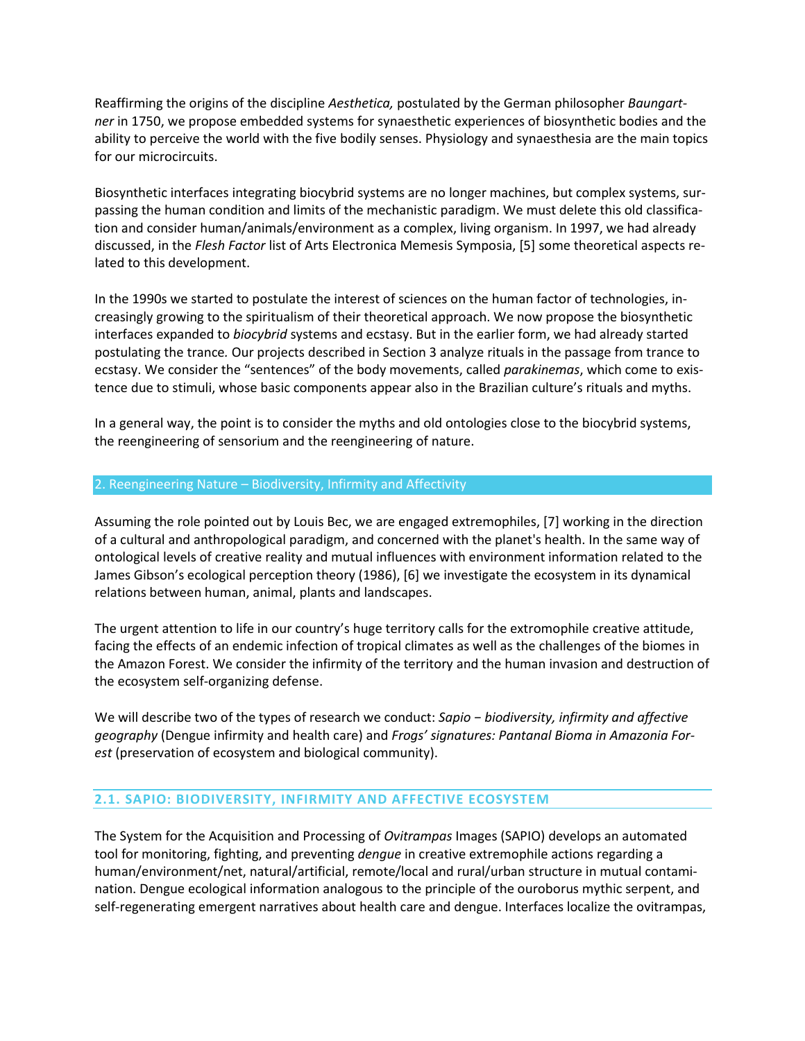Reaffirming the origins of the discipline *Aesthetica,* postulated by the German philosopher *Baungartner* in 1750, we propose embedded systems for synaesthetic experiences of biosynthetic bodies and the ability to perceive the world with the five bodily senses. Physiology and synaesthesia are the main topics for our microcircuits.

Biosynthetic interfaces integrating biocybrid systems are no longer machines, but complex systems, surpassing the human condition and limits of the mechanistic paradigm. We must delete this old classification and consider human/animals/environment as a complex, living organism. In 1997, we had already discussed, in the *Flesh Factor* list of Arts Electronica Memesis Symposia, [5] some theoretical aspects related to this development.

In the 1990s we started to postulate the interest of sciences on the human factor of technologies, increasingly growing to the spiritualism of their theoretical approach. We now propose the biosynthetic interfaces expanded to *biocybrid* systems and ecstasy. But in the earlier form, we had already started postulating the trance*.* Our projects described in Section 3 analyze rituals in the passage from trance to ecstasy. We consider the "sentences" of the body movements, called *parakinemas*, which come to existence due to stimuli, whose basic components appear also in the Brazilian culture's rituals and myths.

In a general way, the point is to consider the myths and old ontologies close to the biocybrid systems, the reengineering of sensorium and the reengineering of nature.

#### 2. Reengineering Nature – Biodiversity, Infirmity and Affectivity

Assuming the role pointed out by Louis Bec, we are engaged extremophiles, [7] working in the direction of a cultural and anthropological paradigm, and concerned with the planet's health. In the same way of ontological levels of creative reality and mutual influences with environment information related to the James Gibson's ecological perception theory (1986), [6] we investigate the ecosystem in its dynamical relations between human, animal, plants and landscapes.

The urgent attention to life in our country's huge territory calls for the extromophile creative attitude, facing the effects of an endemic infection of tropical climates as well as the challenges of the biomes in the Amazon Forest. We consider the infirmity of the territory and the human invasion and destruction of the ecosystem self-organizing defense.

We will describe two of the types of research we conduct: *Sapio − biodiversity, infirmity and affective geography* (Dengue infirmity and health care) and *Frogs' signatures: Pantanal Bioma in Amazonia Forest* (preservation of ecosystem and biological community).

## **2.1. SAPIO: BIODIVERSITY, INFIRMITY AND AFFECTIVE ECOSYSTEM**

The System for the Acquisition and Processing of *Ovitrampas* Images (SAPIO) develops an automated tool for monitoring, fighting, and preventing *dengue* in creative extremophile actions regarding a human/environment/net, natural/artificial, remote/local and rural/urban structure in mutual contamination. Dengue ecological information analogous to the principle of the ouroborus mythic serpent, and self-regenerating emergent narratives about health care and dengue. Interfaces localize the ovitrampas,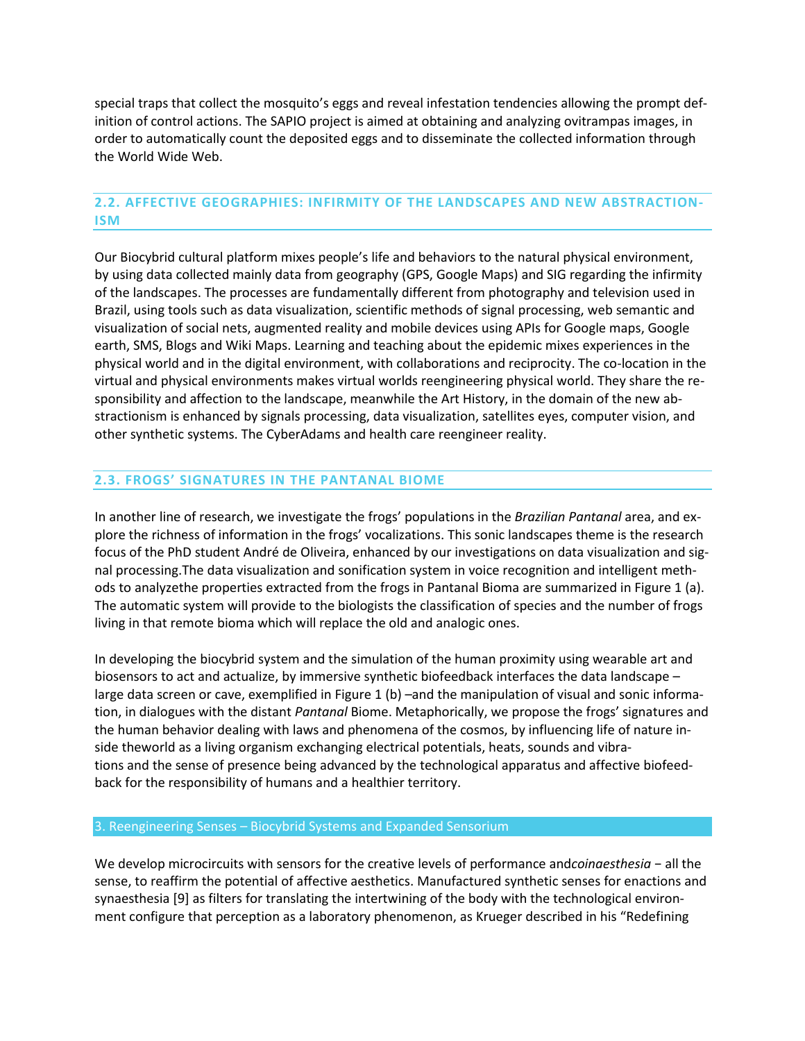special traps that collect the mosquito's eggs and reveal infestation tendencies allowing the prompt definition of control actions. The SAPIO project is aimed at obtaining and analyzing ovitrampas images, in order to automatically count the deposited eggs and to disseminate the collected information through the World Wide Web.

## **2.2. AFFECTIVE GEOGRAPHIES: INFIRMITY OF THE LANDSCAPES AND NEW ABSTRACTION-ISM**

Our Biocybrid cultural platform mixes people's life and behaviors to the natural physical environment, by using data collected mainly data from geography (GPS, Google Maps) and SIG regarding the infirmity of the landscapes. The processes are fundamentally different from photography and television used in Brazil, using tools such as data visualization, scientific methods of signal processing, web semantic and visualization of social nets, augmented reality and mobile devices using APIs for Google maps, Google earth, SMS, Blogs and Wiki Maps. Learning and teaching about the epidemic mixes experiences in the physical world and in the digital environment, with collaborations and reciprocity. The co-location in the virtual and physical environments makes virtual worlds reengineering physical world. They share the responsibility and affection to the landscape, meanwhile the Art History, in the domain of the new abstractionism is enhanced by signals processing, data visualization, satellites eyes, computer vision, and other synthetic systems. The CyberAdams and health care reengineer reality.

#### **2.3. FROGS' SIGNATURES IN THE PANTANAL BIOME**

In another line of research, we investigate the frogs' populations in the *Brazilian Pantanal* area, and explore the richness of information in the frogs' vocalizations. This sonic landscapes theme is the research focus of the PhD student André de Oliveira, enhanced by our investigations on data visualization and signal processing.The data visualization and sonification system in voice recognition and intelligent methods to analyzethe properties extracted from the frogs in Pantanal Bioma are summarized in Figure 1 (a). The automatic system will provide to the biologists the classification of species and the number of frogs living in that remote bioma which will replace the old and analogic ones.

In developing the biocybrid system and the simulation of the human proximity using wearable art and biosensors to act and actualize, by immersive synthetic biofeedback interfaces the data landscape – large data screen or cave, exemplified in Figure 1 (b) –and the manipulation of visual and sonic information, in dialogues with the distant *Pantanal* Biome. Metaphorically, we propose the frogs' signatures and the human behavior dealing with laws and phenomena of the cosmos, by influencing life of nature inside theworld as a living organism exchanging electrical potentials, heats, sounds and vibrations and the sense of presence being advanced by the technological apparatus and affective biofeedback for the responsibility of humans and a healthier territory.

#### 3. Reengineering Senses – Biocybrid Systems and Expanded Sensorium

We develop microcircuits with sensors for the creative levels of performance and*coinaesthesia* − all the sense, to reaffirm the potential of affective aesthetics. Manufactured synthetic senses for enactions and synaesthesia [9] as filters for translating the intertwining of the body with the technological environment configure that perception as a laboratory phenomenon, as Krueger described in his "Redefining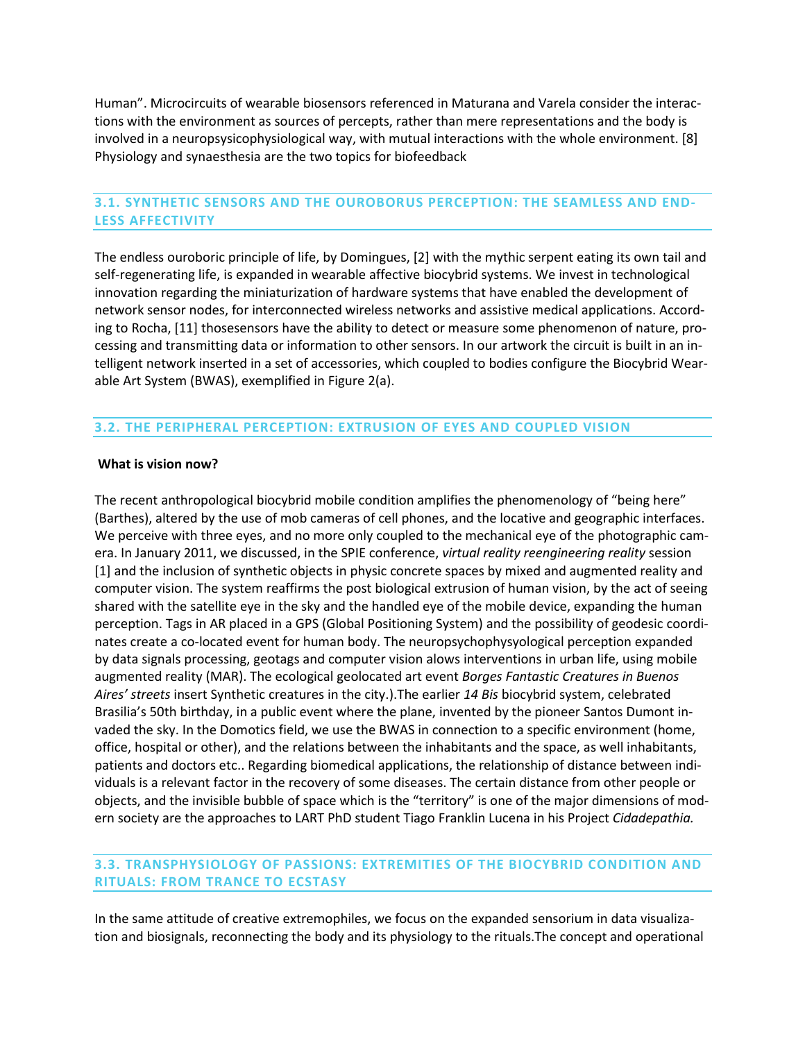Human". Microcircuits of wearable biosensors referenced in Maturana and Varela consider the interactions with the environment as sources of percepts, rather than mere representations and the body is involved in a neuropsysicophysiological way, with mutual interactions with the whole environment. [8] Physiology and synaesthesia are the two topics for biofeedback

## **3.1. SYNTHETIC SENSORS AND THE OUROBORUS PERCEPTION: THE SEAMLESS AND END-LESS AFFECTIVITY**

The endless ouroboric principle of life, by Domingues, [2] with the mythic serpent eating its own tail and self-regenerating life, is expanded in wearable affective biocybrid systems. We invest in technological innovation regarding the miniaturization of hardware systems that have enabled the development of network sensor nodes, for interconnected wireless networks and assistive medical applications. According to Rocha, [11] thosesensors have the ability to detect or measure some phenomenon of nature, processing and transmitting data or information to other sensors. In our artwork the circuit is built in an intelligent network inserted in a set of accessories, which coupled to bodies configure the Biocybrid Wearable Art System (BWAS), exemplified in Figure 2(a).

### **3.2. THE PERIPHERAL PERCEPTION: EXTRUSION OF EYES AND COUPLED VISION**

#### **What is vision now?**

The recent anthropological biocybrid mobile condition amplifies the phenomenology of "being here" (Barthes), altered by the use of mob cameras of cell phones, and the locative and geographic interfaces. We perceive with three eyes, and no more only coupled to the mechanical eye of the photographic camera. In January 2011, we discussed, in the SPIE conference, *virtual reality reengineering reality* session [1] and the inclusion of synthetic objects in physic concrete spaces by mixed and augmented reality and computer vision. The system reaffirms the post biological extrusion of human vision, by the act of seeing shared with the satellite eye in the sky and the handled eye of the mobile device, expanding the human perception. Tags in AR placed in a GPS (Global Positioning System) and the possibility of geodesic coordinates create a co-located event for human body. The neuropsychophysyological perception expanded by data signals processing, geotags and computer vision alows interventions in urban life, using mobile augmented reality (MAR). The ecological geolocated art event *Borges Fantastic Creatures in Buenos Aires' streets* insert Synthetic creatures in the city.).The earlier *14 Bis* biocybrid system, celebrated Brasilia's 50th birthday, in a public event where the plane, invented by the pioneer Santos Dumont invaded the sky. In the Domotics field, we use the BWAS in connection to a specific environment (home, office, hospital or other), and the relations between the inhabitants and the space, as well inhabitants, patients and doctors etc.. Regarding biomedical applications, the relationship of distance between individuals is a relevant factor in the recovery of some diseases. The certain distance from other people or objects, and the invisible bubble of space which is the "territory" is one of the major dimensions of modern society are the approaches to LART PhD student Tiago Franklin Lucena in his Project *Cidadepathia.*

#### **3.3. TRANSPHYSIOLOGY OF PASSIONS: EXTREMITIES OF THE BIOCYBRID CONDITION AND RITUALS: FROM TRANCE TO ECSTASY**

In the same attitude of creative extremophiles, we focus on the expanded sensorium in data visualization and biosignals, reconnecting the body and its physiology to the rituals.The concept and operational